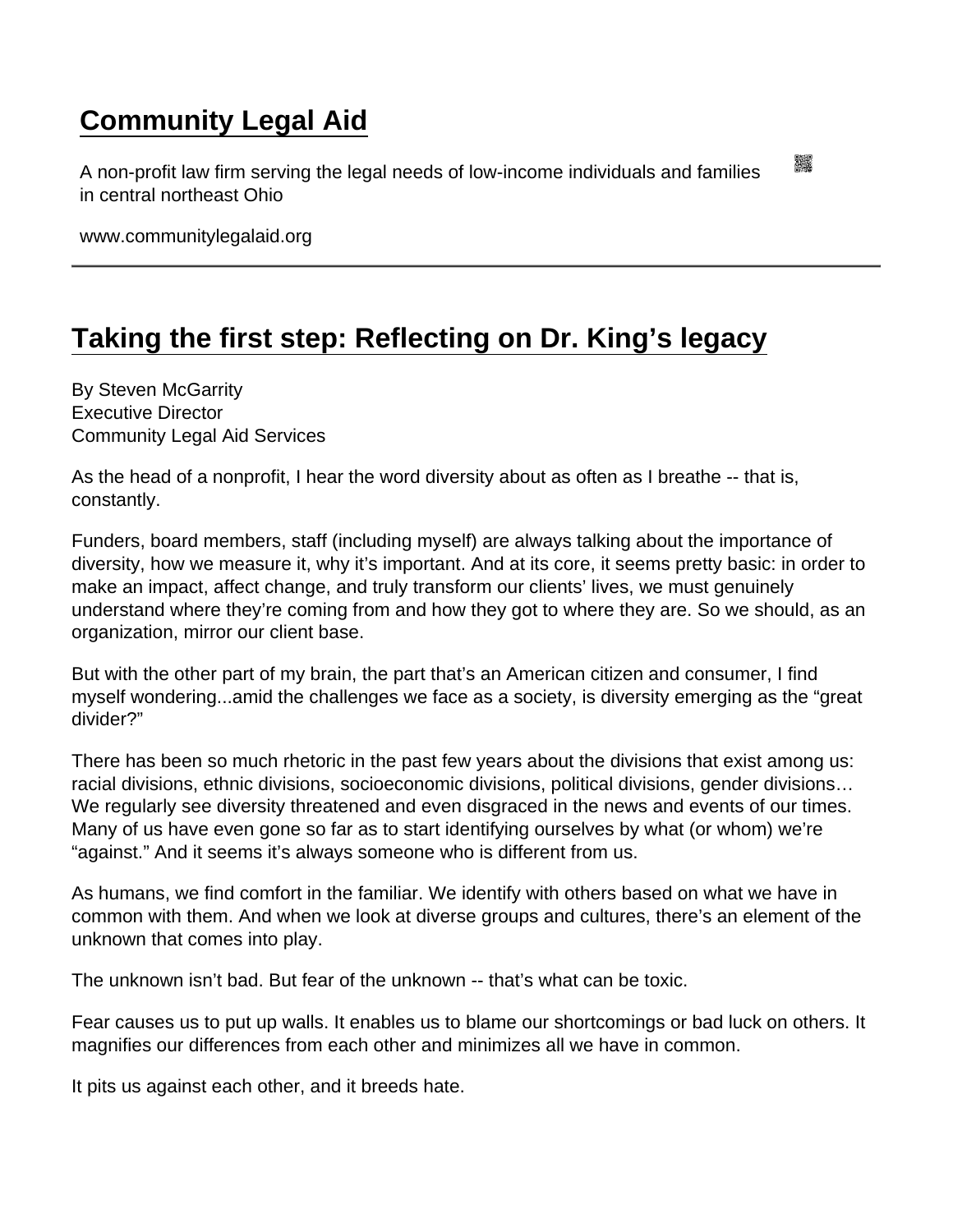## [Community Legal Aid](https://www.communitylegalaid.org/)

A non-profit law firm serving the legal needs of low-income individuals and families in central northeast Ohio

www.communitylegalaid.org

## [Taking the first step: Reflecting on Dr. King's legacy](https://www.communitylegalaid.org/node/956/taking-first-step-reflecting-dr-king’s-legacy)

By Steven McGarrity Executive Director Community Legal Aid Services

As the head of a nonprofit, I hear the word diversity about as often as I breathe -- that is, constantly.

Funders, board members, staff (including myself) are always talking about the importance of diversity, how we measure it, why it's important. And at its core, it seems pretty basic: in order to make an impact, affect change, and truly transform our clients' lives, we must genuinely understand where they're coming from and how they got to where they are. So we should, as an organization, mirror our client base.

But with the other part of my brain, the part that's an American citizen and consumer, I find myself wondering...amid the challenges we face as a society, is diversity emerging as the "great divider?"

There has been so much rhetoric in the past few years about the divisions that exist among us: racial divisions, ethnic divisions, socioeconomic divisions, political divisions, gender divisions… We regularly see diversity threatened and even disgraced in the news and events of our times. Many of us have even gone so far as to start identifying ourselves by what (or whom) we're "against." And it seems it's always someone who is different from us.

As humans, we find comfort in the familiar. We identify with others based on what we have in common with them. And when we look at diverse groups and cultures, there's an element of the unknown that comes into play.

The unknown isn't bad. But fear of the unknown -- that's what can be toxic.

Fear causes us to put up walls. It enables us to blame our shortcomings or bad luck on others. It magnifies our differences from each other and minimizes all we have in common.

It pits us against each other, and it breeds hate.